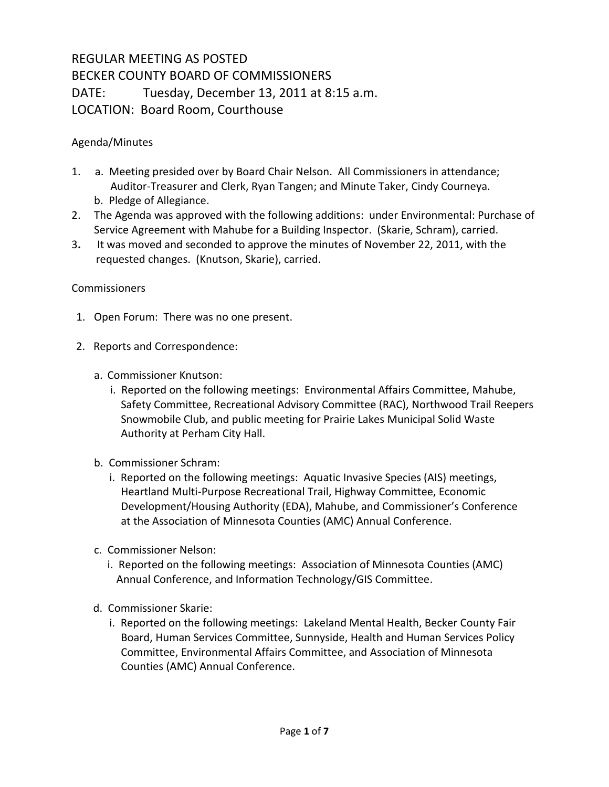## REGULAR MEETING AS POSTED BECKER COUNTY BOARD OF COMMISSIONERS DATE: Tuesday, December 13, 2011 at 8:15 a.m. LOCATION: Board Room, Courthouse

## Agenda/Minutes

- 1. a. Meeting presided over by Board Chair Nelson. All Commissioners in attendance; Auditor-Treasurer and Clerk, Ryan Tangen; and Minute Taker, Cindy Courneya. b. Pledge of Allegiance.
- 2. The Agenda was approved with the following additions: under Environmental: Purchase of Service Agreement with Mahube for a Building Inspector. (Skarie, Schram), carried.
- 3**.** It was moved and seconded to approve the minutes of November 22, 2011, with the requested changes. (Knutson, Skarie), carried.

## Commissioners

- 1. Open Forum: There was no one present.
- 2. Reports and Correspondence:
	- a. Commissioner Knutson:
		- i. Reported on the following meetings: Environmental Affairs Committee, Mahube, Safety Committee, Recreational Advisory Committee (RAC), Northwood Trail Reepers Snowmobile Club, and public meeting for Prairie Lakes Municipal Solid Waste Authority at Perham City Hall.
	- b. Commissioner Schram:
		- i. Reported on the following meetings: Aquatic Invasive Species (AIS) meetings, Heartland Multi-Purpose Recreational Trail, Highway Committee, Economic Development/Housing Authority (EDA), Mahube, and Commissioner's Conference at the Association of Minnesota Counties (AMC) Annual Conference.
	- c. Commissioner Nelson:
		- i. Reported on the following meetings: Association of Minnesota Counties (AMC) Annual Conference, and Information Technology/GIS Committee.
	- d. Commissioner Skarie:
		- i. Reported on the following meetings: Lakeland Mental Health, Becker County Fair Board, Human Services Committee, Sunnyside, Health and Human Services Policy Committee, Environmental Affairs Committee, and Association of Minnesota Counties (AMC) Annual Conference.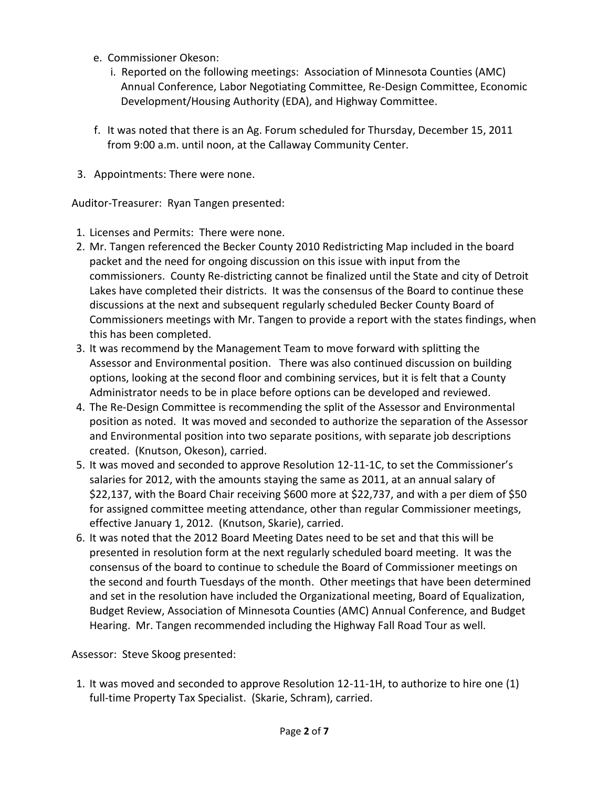- e. Commissioner Okeson:
	- i. Reported on the following meetings: Association of Minnesota Counties (AMC) Annual Conference, Labor Negotiating Committee, Re-Design Committee, Economic Development/Housing Authority (EDA), and Highway Committee.
- f. It was noted that there is an Ag. Forum scheduled for Thursday, December 15, 2011 from 9:00 a.m. until noon, at the Callaway Community Center.
- 3. Appointments: There were none.

Auditor-Treasurer: Ryan Tangen presented:

- 1. Licenses and Permits: There were none.
- 2. Mr. Tangen referenced the Becker County 2010 Redistricting Map included in the board packet and the need for ongoing discussion on this issue with input from the commissioners. County Re-districting cannot be finalized until the State and city of Detroit Lakes have completed their districts. It was the consensus of the Board to continue these discussions at the next and subsequent regularly scheduled Becker County Board of Commissioners meetings with Mr. Tangen to provide a report with the states findings, when this has been completed.
- 3. It was recommend by the Management Team to move forward with splitting the Assessor and Environmental position. There was also continued discussion on building options, looking at the second floor and combining services, but it is felt that a County Administrator needs to be in place before options can be developed and reviewed.
- 4. The Re-Design Committee is recommending the split of the Assessor and Environmental position as noted. It was moved and seconded to authorize the separation of the Assessor and Environmental position into two separate positions, with separate job descriptions created. (Knutson, Okeson), carried.
- 5. It was moved and seconded to approve Resolution 12-11-1C, to set the Commissioner's salaries for 2012, with the amounts staying the same as 2011, at an annual salary of \$22,137, with the Board Chair receiving \$600 more at \$22,737, and with a per diem of \$50 for assigned committee meeting attendance, other than regular Commissioner meetings, effective January 1, 2012. (Knutson, Skarie), carried.
- 6. It was noted that the 2012 Board Meeting Dates need to be set and that this will be presented in resolution form at the next regularly scheduled board meeting. It was the consensus of the board to continue to schedule the Board of Commissioner meetings on the second and fourth Tuesdays of the month. Other meetings that have been determined and set in the resolution have included the Organizational meeting, Board of Equalization, Budget Review, Association of Minnesota Counties (AMC) Annual Conference, and Budget Hearing. Mr. Tangen recommended including the Highway Fall Road Tour as well.

Assessor: Steve Skoog presented:

1. It was moved and seconded to approve Resolution 12-11-1H, to authorize to hire one (1) full-time Property Tax Specialist. (Skarie, Schram), carried.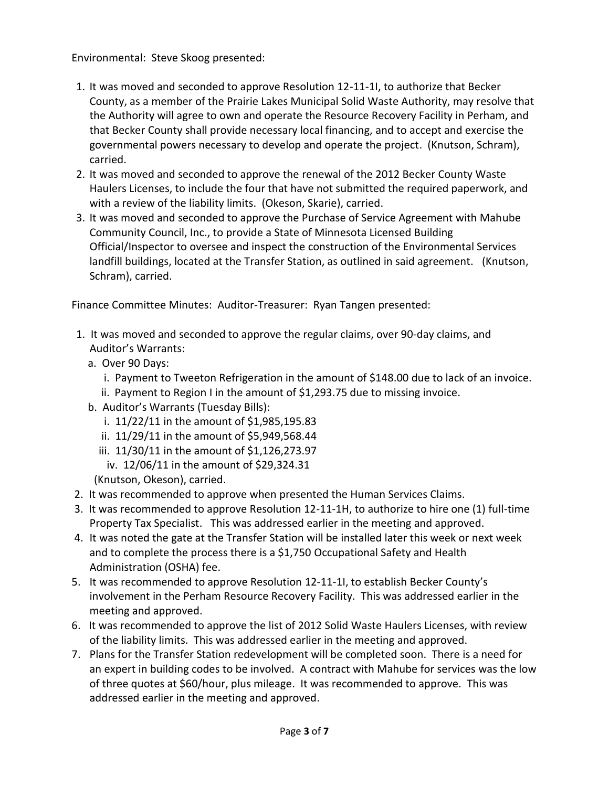Environmental: Steve Skoog presented:

- 1. It was moved and seconded to approve Resolution 12-11-1I, to authorize that Becker County, as a member of the Prairie Lakes Municipal Solid Waste Authority, may resolve that the Authority will agree to own and operate the Resource Recovery Facility in Perham, and that Becker County shall provide necessary local financing, and to accept and exercise the governmental powers necessary to develop and operate the project. (Knutson, Schram), carried.
- 2. It was moved and seconded to approve the renewal of the 2012 Becker County Waste Haulers Licenses, to include the four that have not submitted the required paperwork, and with a review of the liability limits. (Okeson, Skarie), carried.
- 3. It was moved and seconded to approve the Purchase of Service Agreement with Mahube Community Council, Inc., to provide a State of Minnesota Licensed Building Official/Inspector to oversee and inspect the construction of the Environmental Services landfill buildings, located at the Transfer Station, as outlined in said agreement. (Knutson, Schram), carried.

Finance Committee Minutes: Auditor-Treasurer: Ryan Tangen presented:

- 1. It was moved and seconded to approve the regular claims, over 90-day claims, and Auditor's Warrants:
	- a. Over 90 Days:
		- i. Payment to Tweeton Refrigeration in the amount of \$148.00 due to lack of an invoice.
	- ii. Payment to Region I in the amount of \$1,293.75 due to missing invoice.
	- b. Auditor's Warrants (Tuesday Bills):
		- i. 11/22/11 in the amount of \$1,985,195.83
		- ii. 11/29/11 in the amount of \$5,949,568.44
		- iii. 11/30/11 in the amount of \$1,126,273.97
		- iv. 12/06/11 in the amount of \$29,324.31
		- (Knutson, Okeson), carried.
- 2. It was recommended to approve when presented the Human Services Claims.
- 3. It was recommended to approve Resolution 12-11-1H, to authorize to hire one (1) full-time Property Tax Specialist. This was addressed earlier in the meeting and approved.
- 4. It was noted the gate at the Transfer Station will be installed later this week or next week and to complete the process there is a \$1,750 Occupational Safety and Health Administration (OSHA) fee.
- 5. It was recommended to approve Resolution 12-11-1I, to establish Becker County's involvement in the Perham Resource Recovery Facility. This was addressed earlier in the meeting and approved.
- 6. It was recommended to approve the list of 2012 Solid Waste Haulers Licenses, with review of the liability limits. This was addressed earlier in the meeting and approved.
- 7. Plans for the Transfer Station redevelopment will be completed soon. There is a need for an expert in building codes to be involved. A contract with Mahube for services was the low of three quotes at \$60/hour, plus mileage. It was recommended to approve. This was addressed earlier in the meeting and approved.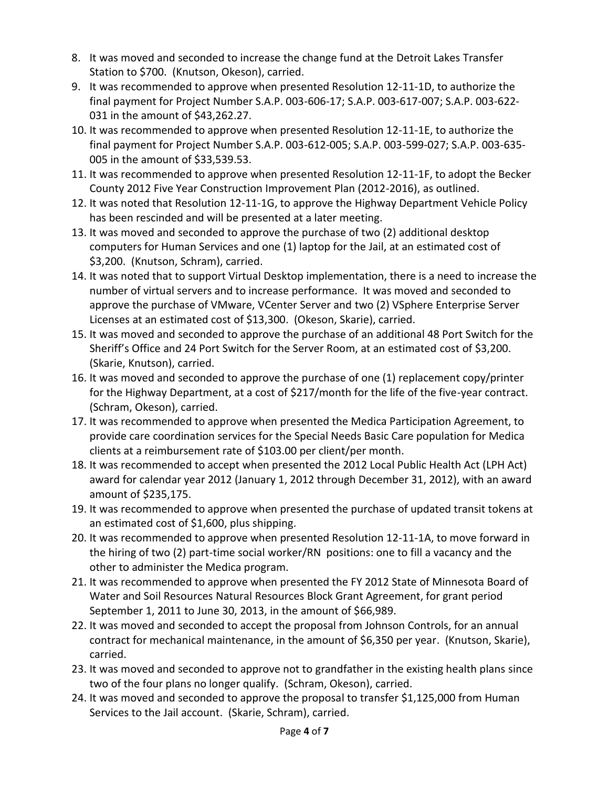- 8. It was moved and seconded to increase the change fund at the Detroit Lakes Transfer Station to \$700. (Knutson, Okeson), carried.
- 9. It was recommended to approve when presented Resolution 12-11-1D, to authorize the final payment for Project Number S.A.P. 003-606-17; S.A.P. 003-617-007; S.A.P. 003-622- 031 in the amount of \$43,262.27.
- 10. It was recommended to approve when presented Resolution 12-11-1E, to authorize the final payment for Project Number S.A.P. 003-612-005; S.A.P. 003-599-027; S.A.P. 003-635- 005 in the amount of \$33,539.53.
- 11. It was recommended to approve when presented Resolution 12-11-1F, to adopt the Becker County 2012 Five Year Construction Improvement Plan (2012-2016), as outlined.
- 12. It was noted that Resolution 12-11-1G, to approve the Highway Department Vehicle Policy has been rescinded and will be presented at a later meeting.
- 13. It was moved and seconded to approve the purchase of two (2) additional desktop computers for Human Services and one (1) laptop for the Jail, at an estimated cost of \$3,200. (Knutson, Schram), carried.
- 14. It was noted that to support Virtual Desktop implementation, there is a need to increase the number of virtual servers and to increase performance. It was moved and seconded to approve the purchase of VMware, VCenter Server and two (2) VSphere Enterprise Server Licenses at an estimated cost of \$13,300. (Okeson, Skarie), carried.
- 15. It was moved and seconded to approve the purchase of an additional 48 Port Switch for the Sheriff's Office and 24 Port Switch for the Server Room, at an estimated cost of \$3,200. (Skarie, Knutson), carried.
- 16. It was moved and seconded to approve the purchase of one (1) replacement copy/printer for the Highway Department, at a cost of \$217/month for the life of the five-year contract. (Schram, Okeson), carried.
- 17. It was recommended to approve when presented the Medica Participation Agreement, to provide care coordination services for the Special Needs Basic Care population for Medica clients at a reimbursement rate of \$103.00 per client/per month.
- 18. It was recommended to accept when presented the 2012 Local Public Health Act (LPH Act) award for calendar year 2012 (January 1, 2012 through December 31, 2012), with an award amount of \$235,175.
- 19. It was recommended to approve when presented the purchase of updated transit tokens at an estimated cost of \$1,600, plus shipping.
- 20. It was recommended to approve when presented Resolution 12-11-1A, to move forward in the hiring of two (2) part-time social worker/RN positions: one to fill a vacancy and the other to administer the Medica program.
- 21. It was recommended to approve when presented the FY 2012 State of Minnesota Board of Water and Soil Resources Natural Resources Block Grant Agreement, for grant period September 1, 2011 to June 30, 2013, in the amount of \$66,989.
- 22. It was moved and seconded to accept the proposal from Johnson Controls, for an annual contract for mechanical maintenance, in the amount of \$6,350 per year. (Knutson, Skarie), carried.
- 23. It was moved and seconded to approve not to grandfather in the existing health plans since two of the four plans no longer qualify. (Schram, Okeson), carried.
- 24. It was moved and seconded to approve the proposal to transfer \$1,125,000 from Human Services to the Jail account. (Skarie, Schram), carried.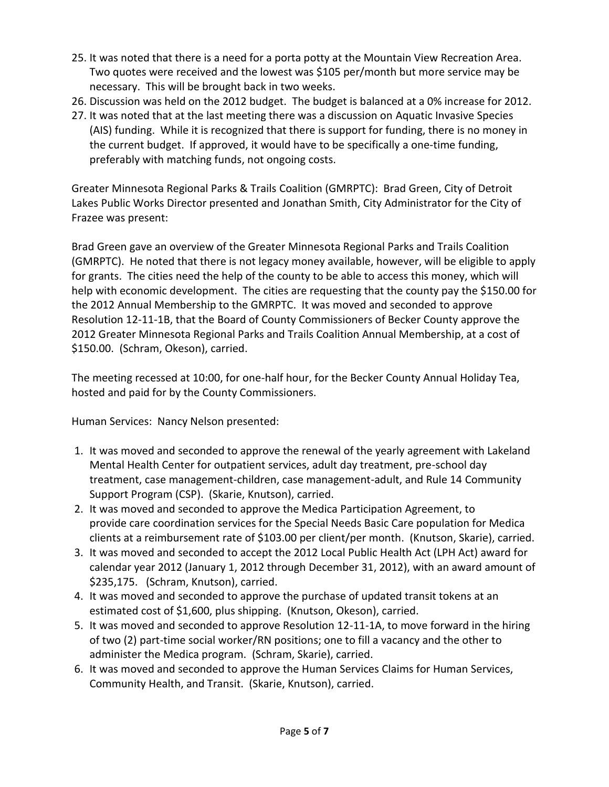- 25. It was noted that there is a need for a porta potty at the Mountain View Recreation Area. Two quotes were received and the lowest was \$105 per/month but more service may be necessary. This will be brought back in two weeks.
- 26. Discussion was held on the 2012 budget. The budget is balanced at a 0% increase for 2012.
- 27. It was noted that at the last meeting there was a discussion on Aquatic Invasive Species (AIS) funding. While it is recognized that there is support for funding, there is no money in the current budget. If approved, it would have to be specifically a one-time funding, preferably with matching funds, not ongoing costs.

Greater Minnesota Regional Parks & Trails Coalition (GMRPTC): Brad Green, City of Detroit Lakes Public Works Director presented and Jonathan Smith, City Administrator for the City of Frazee was present:

Brad Green gave an overview of the Greater Minnesota Regional Parks and Trails Coalition (GMRPTC). He noted that there is not legacy money available, however, will be eligible to apply for grants. The cities need the help of the county to be able to access this money, which will help with economic development. The cities are requesting that the county pay the \$150.00 for the 2012 Annual Membership to the GMRPTC. It was moved and seconded to approve Resolution 12-11-1B, that the Board of County Commissioners of Becker County approve the 2012 Greater Minnesota Regional Parks and Trails Coalition Annual Membership, at a cost of \$150.00. (Schram, Okeson), carried.

The meeting recessed at 10:00, for one-half hour, for the Becker County Annual Holiday Tea, hosted and paid for by the County Commissioners.

Human Services: Nancy Nelson presented:

- 1. It was moved and seconded to approve the renewal of the yearly agreement with Lakeland Mental Health Center for outpatient services, adult day treatment, pre-school day treatment, case management-children, case management-adult, and Rule 14 Community Support Program (CSP). (Skarie, Knutson), carried.
- 2. It was moved and seconded to approve the Medica Participation Agreement, to provide care coordination services for the Special Needs Basic Care population for Medica clients at a reimbursement rate of \$103.00 per client/per month. (Knutson, Skarie), carried.
- 3. It was moved and seconded to accept the 2012 Local Public Health Act (LPH Act) award for calendar year 2012 (January 1, 2012 through December 31, 2012), with an award amount of \$235,175. (Schram, Knutson), carried.
- 4. It was moved and seconded to approve the purchase of updated transit tokens at an estimated cost of \$1,600, plus shipping. (Knutson, Okeson), carried.
- 5. It was moved and seconded to approve Resolution 12-11-1A, to move forward in the hiring of two (2) part-time social worker/RN positions; one to fill a vacancy and the other to administer the Medica program. (Schram, Skarie), carried.
- 6. It was moved and seconded to approve the Human Services Claims for Human Services, Community Health, and Transit. (Skarie, Knutson), carried.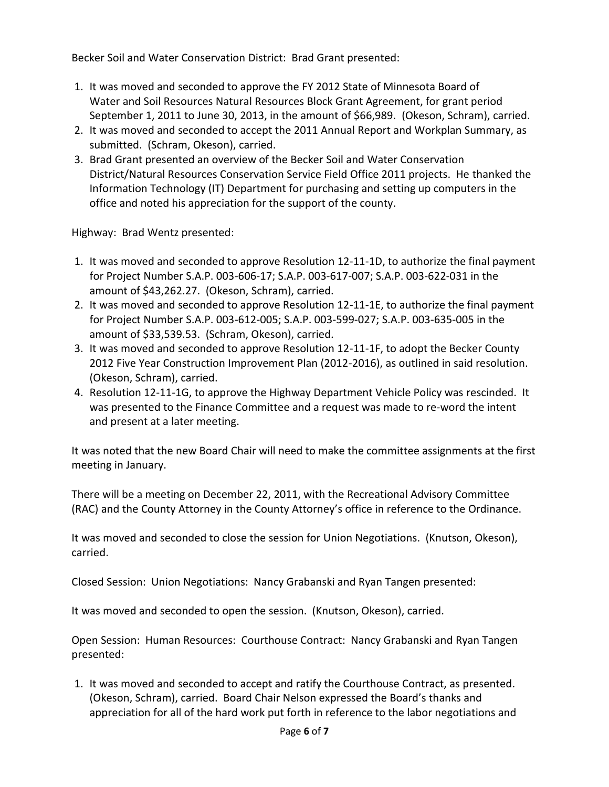Becker Soil and Water Conservation District: Brad Grant presented:

- 1. It was moved and seconded to approve the FY 2012 State of Minnesota Board of Water and Soil Resources Natural Resources Block Grant Agreement, for grant period September 1, 2011 to June 30, 2013, in the amount of \$66,989. (Okeson, Schram), carried.
- 2. It was moved and seconded to accept the 2011 Annual Report and Workplan Summary, as submitted. (Schram, Okeson), carried.
- 3. Brad Grant presented an overview of the Becker Soil and Water Conservation District/Natural Resources Conservation Service Field Office 2011 projects. He thanked the Information Technology (IT) Department for purchasing and setting up computers in the office and noted his appreciation for the support of the county.

Highway: Brad Wentz presented:

- 1. It was moved and seconded to approve Resolution 12-11-1D, to authorize the final payment for Project Number S.A.P. 003-606-17; S.A.P. 003-617-007; S.A.P. 003-622-031 in the amount of \$43,262.27. (Okeson, Schram), carried.
- 2. It was moved and seconded to approve Resolution 12-11-1E, to authorize the final payment for Project Number S.A.P. 003-612-005; S.A.P. 003-599-027; S.A.P. 003-635-005 in the amount of \$33,539.53. (Schram, Okeson), carried.
- 3. It was moved and seconded to approve Resolution 12-11-1F, to adopt the Becker County 2012 Five Year Construction Improvement Plan (2012-2016), as outlined in said resolution. (Okeson, Schram), carried.
- 4. Resolution 12-11-1G, to approve the Highway Department Vehicle Policy was rescinded. It was presented to the Finance Committee and a request was made to re-word the intent and present at a later meeting.

It was noted that the new Board Chair will need to make the committee assignments at the first meeting in January.

There will be a meeting on December 22, 2011, with the Recreational Advisory Committee (RAC) and the County Attorney in the County Attorney's office in reference to the Ordinance.

It was moved and seconded to close the session for Union Negotiations. (Knutson, Okeson), carried.

Closed Session: Union Negotiations: Nancy Grabanski and Ryan Tangen presented:

It was moved and seconded to open the session. (Knutson, Okeson), carried.

Open Session: Human Resources: Courthouse Contract: Nancy Grabanski and Ryan Tangen presented:

1. It was moved and seconded to accept and ratify the Courthouse Contract, as presented. (Okeson, Schram), carried. Board Chair Nelson expressed the Board's thanks and appreciation for all of the hard work put forth in reference to the labor negotiations and